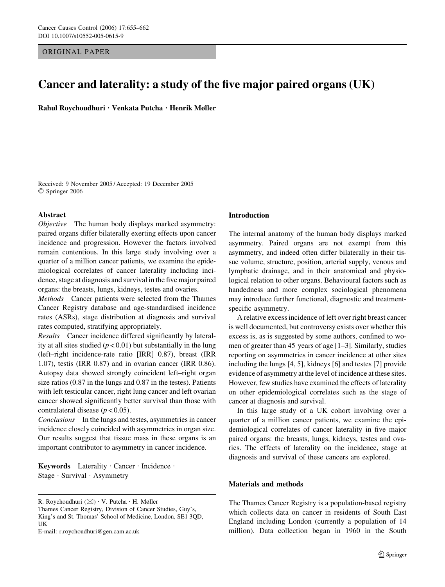ORIGINAL PAPER

# Cancer and laterality: a study of the five major paired organs (UK)

Rahul Roychoudhuri · Venkata Putcha · Henrik Møller

Received: 9 November 2005 / Accepted: 19 December 2005 Springer 2006

# Abstract

Objective The human body displays marked asymmetry: paired organs differ bilaterally exerting effects upon cancer incidence and progression. However the factors involved remain contentious. In this large study involving over a quarter of a million cancer patients, we examine the epidemiological correlates of cancer laterality including incidence, stage at diagnosis and survival in the five major paired organs: the breasts, lungs, kidneys, testes and ovaries.

Methods Cancer patients were selected from the Thames Cancer Registry database and age-standardised incidence rates (ASRs), stage distribution at diagnosis and survival rates computed, stratifying appropriately.

Results Cancer incidence differed significantly by laterality at all sites studied  $(p < 0.01)$  but substantially in the lung (left–right incidence-rate ratio [IRR] 0.87), breast (IRR 1.07), testis (IRR 0.87) and in ovarian cancer (IRR 0.86). Autopsy data showed strongly coincident left–right organ size ratios (0.87 in the lungs and 0.87 in the testes). Patients with left testicular cancer, right lung cancer and left ovarian cancer showed significantly better survival than those with contralateral disease  $(p < 0.05)$ .

Conclusions In the lungs and testes, asymmetries in cancer incidence closely coincided with asymmetries in organ size. Our results suggest that tissue mass in these organs is an important contributor to asymmetry in cancer incidence.

Keywords Laterality Cancer · Incidence · Stage  $\cdot$  Survival  $\cdot$  Asymmetry

Thames Cancer Registry, Division of Cancer Studies, Guy's, King's and St. Thomas' School of Medicine, London, SE1 3QD, UK

E-mail: r.roychoudhuri@gen.cam.ac.uk

## Introduction

The internal anatomy of the human body displays marked asymmetry. Paired organs are not exempt from this asymmetry, and indeed often differ bilaterally in their tissue volume, structure, position, arterial supply, venous and lymphatic drainage, and in their anatomical and physiological relation to other organs. Behavioural factors such as handedness and more complex sociological phenomena may introduce further functional, diagnostic and treatmentspecific asymmetry.

A relative excess incidence of left over right breast cancer is well documented, but controversy exists over whether this excess is, as is suggested by some authors, confined to women of greater than 45 years of age [1–3]. Similarly, studies reporting on asymmetries in cancer incidence at other sites including the lungs [4, 5], kidneys [6] and testes [7] provide evidence of asymmetry at the level of incidence at these sites. However, few studies have examined the effects of laterality on other epidemiological correlates such as the stage of cancer at diagnosis and survival.

In this large study of a UK cohort involving over a quarter of a million cancer patients, we examine the epidemiological correlates of cancer laterality in five major paired organs: the breasts, lungs, kidneys, testes and ovaries. The effects of laterality on the incidence, stage at diagnosis and survival of these cancers are explored.

## Materials and methods

The Thames Cancer Registry is a population-based registry which collects data on cancer in residents of South East England including London (currently a population of 14 million). Data collection began in 1960 in the South

R. Roychoudhuri  $(\boxtimes) \cdot V$ . Putcha  $\cdot H$ . Møller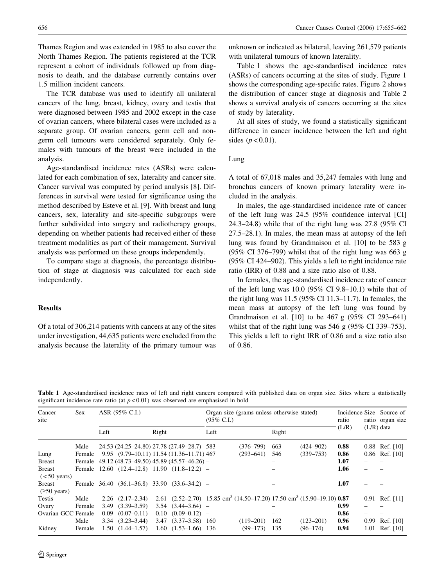Thames Region and was extended in 1985 to also cover the North Thames Region. The patients registered at the TCR represent a cohort of individuals followed up from diagnosis to death, and the database currently contains over 1.5 million incident cancers.

The TCR database was used to identify all unilateral cancers of the lung, breast, kidney, ovary and testis that were diagnosed between 1985 and 2002 except in the case of ovarian cancers, where bilateral cases were included as a separate group. Of ovarian cancers, germ cell and nongerm cell tumours were considered separately. Only females with tumours of the breast were included in the analysis.

Age-standardised incidence rates (ASRs) were calculated for each combination of sex, laterality and cancer site. Cancer survival was computed by period analysis [8]. Differences in survival were tested for significance using the method described by Esteve et al. [9]. With breast and lung cancers, sex, laterality and site-specific subgroups were further subdivided into surgery and radiotherapy groups, depending on whether patients had received either of these treatment modalities as part of their management. Survival analysis was performed on these groups independently.

To compare stage at diagnosis, the percentage distribution of stage at diagnosis was calculated for each side independently.

# Results

Of a total of 306,214 patients with cancers at any of the sites under investigation, 44,635 patients were excluded from the analysis because the laterality of the primary tumour was unknown or indicated as bilateral, leaving 261,579 patients with unilateral tumours of known laterality.

Table 1 shows the age-standardised incidence rates (ASRs) of cancers occurring at the sites of study. Figure 1 shows the corresponding age-specific rates. Figure 2 shows the distribution of cancer stage at diagnosis and Table 2 shows a survival analysis of cancers occurring at the sites of study by laterality.

At all sites of study, we found a statistically significant difference in cancer incidence between the left and right sides ( $p < 0.01$ ).

Lung

A total of 67,018 males and 35,247 females with lung and bronchus cancers of known primary laterality were included in the analysis.

In males, the age-standardised incidence rate of cancer of the left lung was 24.5 (95% confidence interval [CI] 24.3–24.8) while that of the right lung was 27.8 (95% CI 27.5–28.1). In males, the mean mass at autopsy of the left lung was found by Grandmaison et al. [10] to be 583 g (95% CI 376–799) whilst that of the right lung was 663 g (95% CI 424–902). This yields a left to right incidence rate ratio (IRR) of 0.88 and a size ratio also of 0.88.

In females, the age-standardised incidence rate of cancer of the left lung was 10.0 (95% CI 9.8–10.1) while that of the right lung was 11.5 (95% CI 11.3–11.7). In females, the mean mass at autopsy of the left lung was found by Grandmaison et al. [10] to be 467 g (95% CI 293–641) whilst that of the right lung was 546 g (95% CI 339–753). This yields a left to right IRR of 0.86 and a size ratio also of 0.86.

**Cancer** site Sex ASR (95% C.I.) Organ size (grams unless otherwise stated) (95% C.I.) Incidence Size Source of ratio  $(L/R)$ ratio organ size (L/R) data Left Right Left Right Male 24.53 (24.25–24.80) 27.78 (27.49–28.7) 583 (376–799) 663 (424–902) 0.88 0.88 Ref. [10] Lung Female 9.95 (9.79–10.11) 11.54 (11.36–11.71) 467 (293–641) 546 (339–753) 0.86 0.86 Ref. [10] Breast Female 49.12 (48.73–49.50) 45.89 (45.57–46.26) – – 1.07 – – Breast  $(< 50$  years) Female 12.60 (12.4–12.8) 11.90 (11.8–12.2) – – 1.06 – – Breast  $(≥50 \text{ years})$ Female 36.40 (36.1–36.8) 33.90 (33.6–34.2) – – 1.07 – – Testis Male 2.26 (2.17–2.34) 2.61 (2.52–2.70) 15.85 cm<sup>3</sup> (14.50–17.20) 17.50 cm<sup>3</sup> (15.90–19.10) 0.87 0.91 Ref. [11] Ovary Female 3.49 (3.39–3.59) 3.54 (3.44–3.64) – – 0.99 – – Ovarian GCC Female 0.09 (0.07–0.11) 0.10 (0.09–0.12) – – – – 0.86 – –<br>Male 3.34 (3.23–3.44) 3.47 (3.37–3.58) 160 (119–201) 162 (123–201) 0.96 0.99 Ref. [10] Male 3.34 (3.23–3.44) 3.47 (3.37–3.58) 160 Kidney Female 1.50 (1.44–1.57) 1.60 (1.53–1.66) 136 (99–173) 135 (96–174) 0.94 1.01 Ref. [10]

Table 1 Age-standardised incidence rates of left and right cancers compared with published data on organ size. Sites where a statistically significant incidence rate ratio (at  $p < 0.01$ ) was observed are emphasised in bold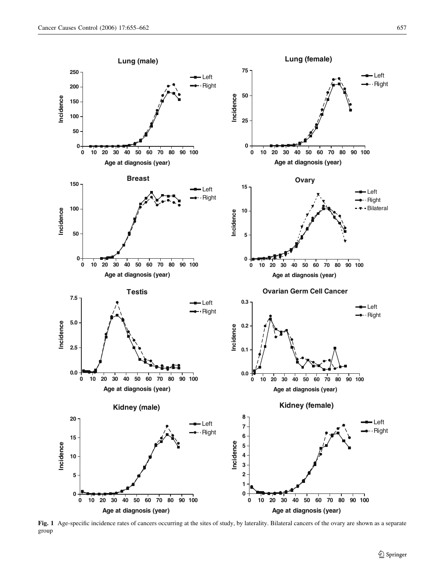

Fig. 1 Age-specific incidence rates of cancers occurring at the sites of study, by laterality. Bilateral cancers of the ovary are shown as a separate group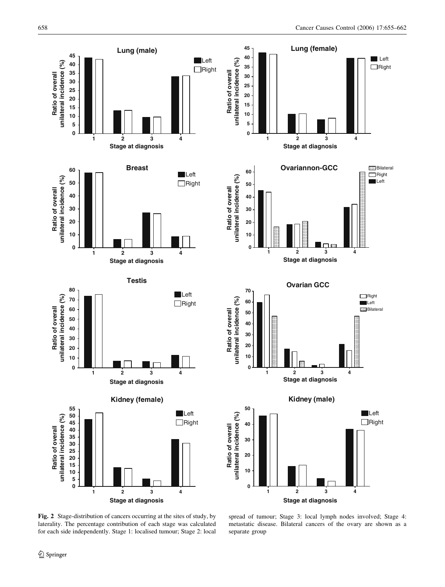

Fig. 2 Stage-distribution of cancers occurring at the sites of study, by laterality. The percentage contribution of each stage was calculated for each side independently. Stage 1: localised tumour; Stage 2: local

spread of tumour; Stage 3: local lymph nodes involved; Stage 4: metastatic disease. Bilateral cancers of the ovary are shown as a separate group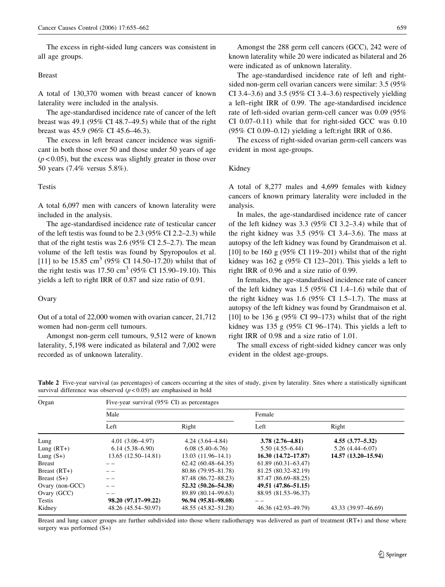The excess in right-sided lung cancers was consistent in all age groups.

#### Breast

A total of 130,370 women with breast cancer of known laterality were included in the analysis.

The age-standardised incidence rate of cancer of the left breast was 49.1 (95% CI 48.7–49.5) while that of the right breast was 45.9 (96% CI 45.6–46.3).

The excess in left breast cancer incidence was significant in both those over 50 and those under 50 years of age  $(p<0.05)$ , but the excess was slightly greater in those over 50 years (7.4% versus 5.8%).

#### Testis

A total 6,097 men with cancers of known laterality were included in the analysis.

The age-standardised incidence rate of testicular cancer of the left testis was found to be 2.3 (95% CI 2.2–2.3) while that of the right testis was 2.6 (95% CI 2.5–2.7). The mean volume of the left testis was found by Spyropoulos et al. [11] to be 15.85 cm<sup>3</sup> (95% CI 14.50–17.20) whilst that of the right testis was  $17.50 \text{ cm}^3$  (95% CI 15.90–19.10). This yields a left to right IRR of 0.87 and size ratio of 0.91.

## Ovary

Out of a total of 22,000 women with ovarian cancer, 21,712 women had non-germ cell tumours.

Amongst non-germ cell tumours, 9,512 were of known laterality, 5,198 were indicated as bilateral and 7,002 were recorded as of unknown laterality.

Amongst the 288 germ cell cancers (GCC), 242 were of known laterality while 20 were indicated as bilateral and 26 were indicated as of unknown laterality.

The age-standardised incidence rate of left and rightsided non-germ cell ovarian cancers were similar: 3.5 (95% CI 3.4–3.6) and 3.5 (95% CI 3.4–3.6) respectively yielding a left–right IRR of 0.99. The age-standardised incidence rate of left-sided ovarian germ-cell cancer was 0.09 (95% CI 0.07–0.11) while that for right-sided GCC was 0.10 (95% CI 0.09–0.12) yielding a left:right IRR of 0.86.

The excess of right-sided ovarian germ-cell cancers was evident in most age-groups.

#### Kidney

A total of 8,277 males and 4,699 females with kidney cancers of known primary laterality were included in the analysis.

In males, the age-standardised incidence rate of cancer of the left kidney was 3.3 (95% CI 3.2–3.4) while that of the right kidney was 3.5 (95% CI 3.4–3.6). The mass at autopsy of the left kidney was found by Grandmaison et al. [10] to be 160 g  $(95\% \text{ CI } 119-201)$  whilst that of the right kidney was 162 g (95% CI 123–201). This yields a left to right IRR of 0.96 and a size ratio of 0.99.

In females, the age-standardised incidence rate of cancer of the left kidney was 1.5 (95% CI 1.4–1.6) while that of the right kidney was  $1.6$  (95% CI 1.5–1.7). The mass at autopsy of the left kidney was found by Grandmaison et al. [10] to be 136 g (95% CI 99–173) whilst that of the right kidney was 135 g  $(95\% \text{ CI } 96-174)$ . This yields a left to right IRR of 0.98 and a size ratio of 1.01.

The small excess of right-sided kidney cancer was only evident in the oldest age-groups.

Table 2 Five-year survival (as percentages) of cancers occurring at the sites of study, given by laterality. Sites where a statistically significant survival difference was observed  $(p < 0.05)$  are emphasised in bold

| Organ           | Five-year survival (95% CI) as percentages |                        |                        |                     |
|-----------------|--------------------------------------------|------------------------|------------------------|---------------------|
|                 | Male                                       |                        | Female                 |                     |
|                 | Left                                       | Right                  | Left                   | Right               |
| Lung            | $4.01(3.06-4.97)$                          | $4.24(3.64 - 4.84)$    | $3.78(2.76 - 4.81)$    | $4.55(3.77 - 5.32)$ |
| Lung $(RT+)$    | $6.14(5.38 - 6.90)$                        | $6.08(5.40-6.76)$      | $5.50(4.55 - 6.44)$    | $5.26(4.44 - 6.07)$ |
| Lung $(S+)$     | 13.65 (12.50–14.81)                        | $13.03(11.96-14.1)$    | $16.30(14.72 - 17.87)$ | 14.57 (13.20-15.94) |
| <b>Breast</b>   |                                            | $62.42(60.48 - 64.35)$ | $61.89(60.31 - 63.47)$ |                     |
| Breast $(RT+)$  |                                            | 80.86 (79.95-81.78)    | 81.25 (80.32–82.19)    |                     |
| Breast $(S+)$   |                                            | 87.48 (86.72–88.23)    | 87.47 (86.69–88.25)    |                     |
| Ovary (non-GCC) |                                            | 52.32 (50.26–54.38)    | 49.51 (47.86–51.15)    |                     |
| Ovary (GCC)     |                                            | 89.89 (80.14–99.63)    | 88.95 (81.53–96.37)    |                     |
| <b>Testis</b>   | 98.20 (97.17-99.22)                        | 96.94 (95.81–98.08)    |                        |                     |
| Kidney          | 48.26 (45.54–50.97)                        | 48.55 (45.82–51.28)    | 46.36 (42.93-49.79)    | 43.33 (39.97-46.69) |

Breast and lung cancer groups are further subdivided into those where radiotherapy was delivered as part of treatment (RT+) and those where surgery was performed (S+)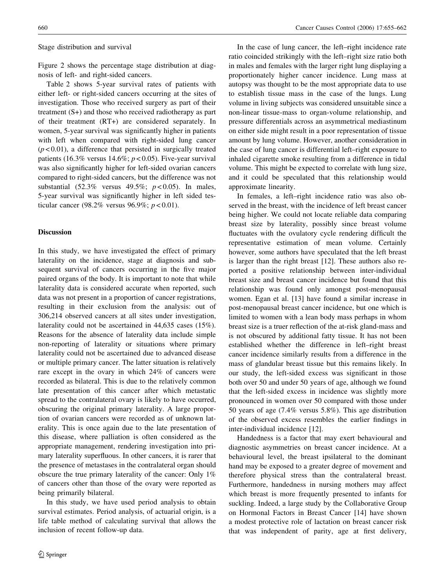## Stage distribution and survival

Figure 2 shows the percentage stage distribution at diagnosis of left- and right-sided cancers.

Table 2 shows 5-year survival rates of patients with either left- or right-sided cancers occurring at the sites of investigation. Those who received surgery as part of their treatment (S+) and those who received radiotherapy as part of their treatment (RT+) are considered separately. In women, 5-year survival was significantly higher in patients with left when compared with right-sided lung cancer  $(p<0.01)$ , a difference that persisted in surgically treated patients (16.3% versus 14.6%;  $p < 0.05$ ). Five-year survival was also significantly higher for left-sided ovarian cancers compared to right-sided cancers, but the difference was not substantial  $(52.3\%$  versus  $49.5\%$ ;  $p < 0.05$ ). In males, 5-year survival was significantly higher in left sided testicular cancer (98.2% versus 96.9%;  $p < 0.01$ ).

## Discussion

In this study, we have investigated the effect of primary laterality on the incidence, stage at diagnosis and subsequent survival of cancers occurring in the five major paired organs of the body. It is important to note that while laterality data is considered accurate when reported, such data was not present in a proportion of cancer registrations, resulting in their exclusion from the analysis: out of 306,214 observed cancers at all sites under investigation, laterality could not be ascertained in 44,635 cases (15%). Reasons for the absence of laterality data include simple non-reporting of laterality or situations where primary laterality could not be ascertained due to advanced disease or multiple primary cancer. The latter situation is relatively rare except in the ovary in which 24% of cancers were recorded as bilateral. This is due to the relatively common late presentation of this cancer after which metastatic spread to the contralateral ovary is likely to have occurred, obscuring the original primary laterality. A large proportion of ovarian cancers were recorded as of unknown laterality. This is once again due to the late presentation of this disease, where palliation is often considered as the appropriate management, rendering investigation into primary laterality superfluous. In other cancers, it is rarer that the presence of metastases in the contralateral organ should obscure the true primary laterality of the cancer: Only 1% of cancers other than those of the ovary were reported as being primarily bilateral.

In this study, we have used period analysis to obtain survival estimates. Period analysis, of actuarial origin, is a life table method of calculating survival that allows the inclusion of recent follow-up data.

In the case of lung cancer, the left–right incidence rate ratio coincided strikingly with the left–right size ratio both in males and females with the larger right lung displaying a proportionately higher cancer incidence. Lung mass at autopsy was thought to be the most appropriate data to use to establish tissue mass in the case of the lungs. Lung volume in living subjects was considered unsuitable since a non-linear tissue-mass to organ-volume relationship, and pressure differentials across an asymmetrical mediastinum on either side might result in a poor representation of tissue amount by lung volume. However, another consideration in the case of lung cancer is differential left–right exposure to inhaled cigarette smoke resulting from a difference in tidal volume. This might be expected to correlate with lung size, and it could be speculated that this relationship would approximate linearity.

In females, a left–right incidence ratio was also observed in the breast, with the incidence of left breast cancer being higher. We could not locate reliable data comparing breast size by laterality, possibly since breast volume fluctuates with the ovulatory cycle rendering difficult the representative estimation of mean volume. Certainly however, some authors have speculated that the left breast is larger than the right breast [12]. These authors also reported a positive relationship between inter-individual breast size and breast cancer incidence but found that this relationship was found only amongst post-menopausal women. Egan et al. [13] have found a similar increase in post-menopausal breast cancer incidence, but one which is limited to women with a lean body mass perhaps in whom breast size is a truer reflection of the at-risk gland-mass and is not obscured by additional fatty tissue. It has not been established whether the difference in left–right breast cancer incidence similarly results from a difference in the mass of glandular breast tissue but this remains likely. In our study, the left-sided excess was significant in those both over 50 and under 50 years of age, although we found that the left-sided excess in incidence was slightly more pronounced in women over 50 compared with those under 50 years of age (7.4% versus 5.8%). This age distribution of the observed excess resembles the earlier findings in inter-individual incidence [12].

Handedness is a factor that may exert behavioural and diagnostic asymmetries on breast cancer incidence. At a behavioural level, the breast ipsilateral to the dominant hand may be exposed to a greater degree of movement and therefore physical stress than the contralateral breast. Furthermore, handedness in nursing mothers may affect which breast is more frequently presented to infants for suckling. Indeed, a large study by the Collaborative Group on Hormonal Factors in Breast Cancer [14] have shown a modest protective role of lactation on breast cancer risk that was independent of parity, age at first delivery,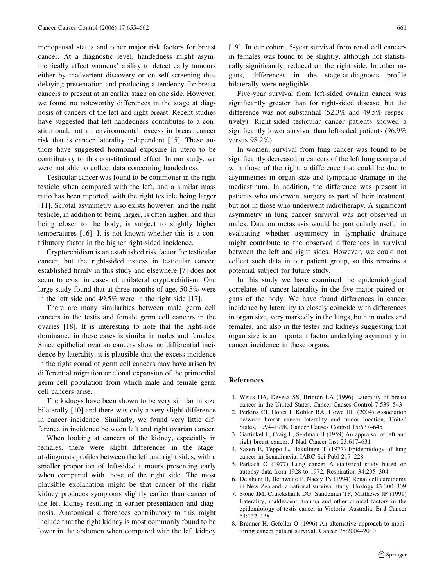menopausal status and other major risk factors for breast cancer. At a diagnostic level, handedness might asymmetrically affect womens' ability to detect early tumours either by inadvertent discovery or on self-screening thus delaying presentation and producing a tendency for breast cancers to present at an earlier stage on one side. However, we found no noteworthy differences in the stage at diagnosis of cancers of the left and right breast. Recent studies have suggested that left-handedness contributes to a constitutional, not an environmental, excess in breast cancer risk that is cancer laterality independent [15]. These authors have suggested hormonal exposure in utero to be contributory to this constitutional effect. In our study, we were not able to collect data concerning handedness.

Testicular cancer was found to be commoner in the right testicle when compared with the left, and a similar mass ratio has been reported, with the right testicle being larger [11]. Scrotal asymmetry also exists however, and the right testicle, in addition to being larger, is often higher, and thus being closer to the body, is subject to slightly higher temperatures [16]. It is not known whether this is a contributory factor in the higher right-sided incidence.

Cryptorchidism is an established risk factor for testicular cancer, but the right-sided excess in testicular cancer, established firmly in this study and elsewhere [7] does not seem to exist in cases of unilateral cryptorchidism. One large study found that at three months of age, 50.5% were in the left side and 49.5% were in the right side [17].

There are many similarities between male germ cell cancers in the testis and female germ cell cancers in the ovaries [18]. It is interesting to note that the right-side dominance in these cases is similar in males and females. Since epithelial ovarian cancers show no differential incidence by laterality, it is plausible that the excess incidence in the right gonad of germ cell cancers may have arisen by differential migration or clonal expansion of the primordial germ cell population from which male and female germ cell cancers arise.

The kidneys have been shown to be very similar in size bilaterally [10] and there was only a very slight difference in cancer incidence. Similarly, we found very little difference in incidence between left and right ovarian cancer.

When looking at cancers of the kidney, especially in females, there were slight differences in the stageat-diagnosis profiles between the left and right sides, with a smaller proportion of left-sided tumours presenting early when compared with those of the right side. The most plausible explanation might be that cancer of the right kidney produces symptoms slightly earlier than cancer of the left kidney resulting in earlier presentation and diagnosis. Anatomical differences contributory to this might include that the right kidney is most commonly found to be lower in the abdomen when compared with the left kidney [19]. In our cohort, 5-year survival from renal cell cancers in females was found to be slightly, although not statistically significantly, reduced on the right side. In other organs, differences in the stage-at-diagnosis profile bilaterally were negligible.

Five-year survival from left-sided ovarian cancer was significantly greater than for right-sided disease, but the difference was not substantial (52.3% and 49.5% respectively). Right-sided testicular cancer patients showed a significantly lower survival than left-sided patients (96.9% versus 98.2%).

In women, survival from lung cancer was found to be significantly decreased in cancers of the left lung compared with those of the right, a difference that could be due to asymmetries in organ size and lymphatic drainage in the mediastinum. In addition, the difference was present in patients who underwent surgery as part of their treatment, but not in those who underwent radiotherapy. A significant asymmetry in lung cancer survival was not observed in males. Data on metastasis would be particularly useful in evaluating whether asymmetry in lymphatic drainage might contribute to the observed differences in survival between the left and right sides. However, we could not collect such data in our patient group, so this remains a potential subject for future study.

In this study we have examined the epidemiological correlates of cancer laterality in the five major paired organs of the body. We have found differences in cancer incidence by laterality to closely coincide with differences in organ size, very markedly in the lungs, both in males and females, and also in the testes and kidneys suggesting that organ size is an important factor underlying asymmetry in cancer incidence in these organs.

#### References

- 1. Weiss HA, Devesa SS, Brinton LA (1996) Laterality of breast cancer in the United States. Cancer Causes Control 7:539–543
- 2. Perkins CI, Hotes J, Kohler BA, Howe HL (2004) Association between breast cancer laterality and tumor location, United States, 1994–1998. Cancer Causes Control 15:637–645
- 3. Garfinkel L, Craig L, Seidman H (1959) An appraisal of left and right breast cancer. J Natl Cancer Inst 23:617–631
- 4. Saxen E, Teppo L, Hakulinen T (1977) Epidemiology of lung cancer in Scandinavia. IARC Sci Publ 217–228
- 5. Parkash O (1977) Lung cancer A statistical study based on autopsy data from 1928 to 1972. Respiration 34:295–304
- 6. Delahunt B, Bethwaite P, Nacey JN (1994) Renal cell carcinoma in New Zealand: a national survival study. Urology 43:300–309
- 7. Stone JM, Cruickshank DG, Sandeman TF, Matthews JP (1991) Laterality, maldescent, trauma and other clinical factors in the epidemiology of testis cancer in Victoria, Australia. Br J Cancer 64:132–138
- 8. Brenner H, Gefeller O (1996) An alternative approach to monitoring cancer patient survival. Cancer 78:2004–2010